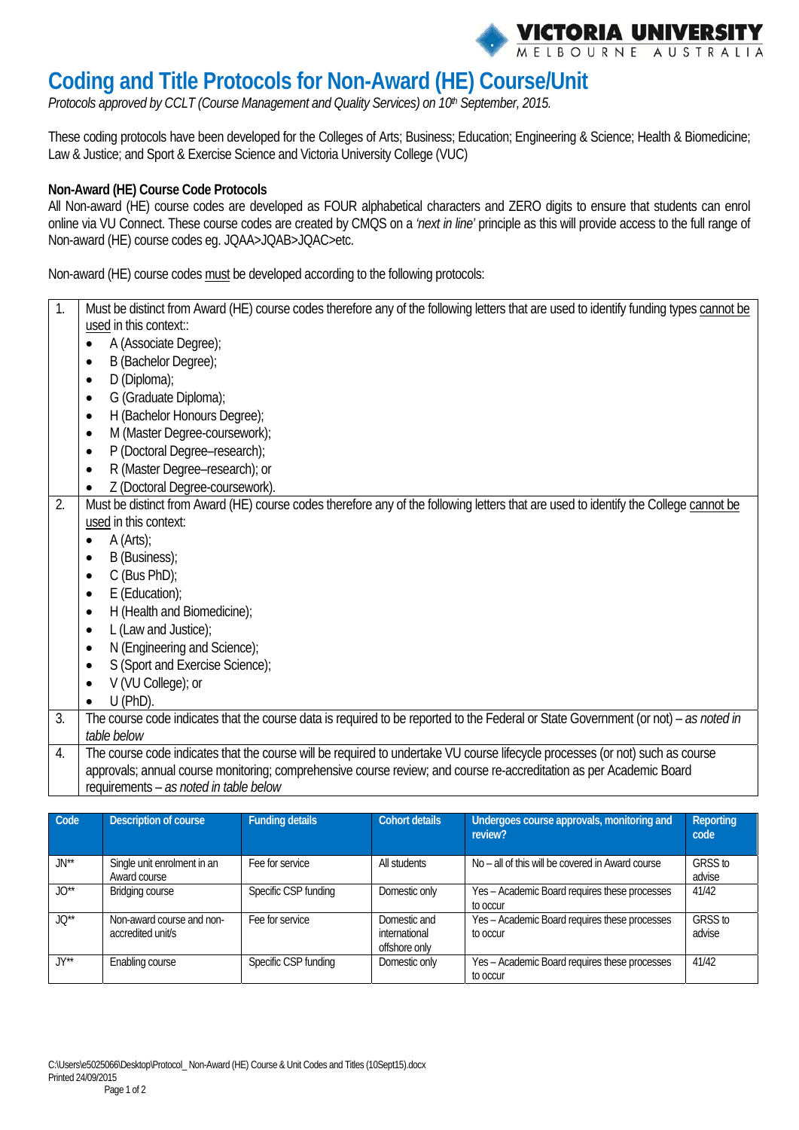

# **Coding and Title Protocols for Non-Award (HE) Course/Unit**

Protocols approved by CCLT (Course Management and Quality Services) on 10<sup>th</sup> September, 2015.

These coding protocols have been developed for the Colleges of Arts; Business; Education; Engineering & Science; Health & Biomedicine; Law & Justice; and Sport & Exercise Science and Victoria University College (VUC)

#### **Non-Award (HE) Course Code Protocols**

All Non-award (HE) course codes are developed as FOUR alphabetical characters and ZERO digits to ensure that students can enrol online via VU Connect. These course codes are created by CMQS on a *'next in line'* principle as this will provide access to the full range of Non-award (HE) course codes eg. JQAA>JQAB>JQAC>etc.

Non-award (HE) course codes must be developed according to the following protocols:

|    | Must be distinct from Award (HE) course codes therefore any of the following letters that are used to identify funding types cannot be<br>used in this context::<br>A (Associate Degree);<br>B (Bachelor Degree);<br>$\bullet$<br>D (Diploma);<br>G (Graduate Diploma);<br>H (Bachelor Honours Degree);<br>$\bullet$<br>M (Master Degree-coursework);<br>$\bullet$<br>P (Doctoral Degree-research);<br>$\bullet$<br>R (Master Degree-research); or<br>$\bullet$<br>Z (Doctoral Degree-coursework). |
|----|----------------------------------------------------------------------------------------------------------------------------------------------------------------------------------------------------------------------------------------------------------------------------------------------------------------------------------------------------------------------------------------------------------------------------------------------------------------------------------------------------|
| 2. | Must be distinct from Award (HE) course codes therefore any of the following letters that are used to identify the College cannot be<br>used in this context:<br>A (Arts);<br>B (Business);<br>$\bullet$<br>$C$ (Bus PhD);<br>$E$ (Education);<br>H (Health and Biomedicine);<br>$\bullet$<br>L (Law and Justice);<br>N (Engineering and Science);<br>$\bullet$<br>S (Sport and Exercise Science);<br>$\bullet$<br>V (VU College); or<br>$U$ (PhD).                                                |
| 3. | The course code indicates that the course data is required to be reported to the Federal or State Government (or not) – as noted in<br>table below                                                                                                                                                                                                                                                                                                                                                 |
| 4. | The course code indicates that the course will be required to undertake VU course lifecycle processes (or not) such as course<br>approvals; annual course monitoring; comprehensive course review; and course re-accreditation as per Academic Board<br>requirements - as noted in table below                                                                                                                                                                                                     |

| Code              | Description of course                          | <b>Funding details</b> | <b>Cohort details</b>                          | Undergoes course approvals, monitoring and<br>review?     | Reporting<br>code |
|-------------------|------------------------------------------------|------------------------|------------------------------------------------|-----------------------------------------------------------|-------------------|
| $JN^{**}$         | Single unit enrolment in an<br>Award course    | Fee for service        | All students                                   | No – all of this will be covered in Award course          | GRSS to<br>advise |
| $JO^{**}$         | <b>Bridging course</b>                         | Specific CSP funding   | Domestic only                                  | Yes - Academic Board requires these processes<br>to occur | 41/42             |
| $JO^{**}$         | Non-award course and non-<br>accredited unit/s | Fee for service        | Domestic and<br>international<br>offshore only | Yes - Academic Board requires these processes<br>to occur | GRSS to<br>advise |
| $JY^{\star\star}$ | Enabling course                                | Specific CSP funding   | Domestic only                                  | Yes - Academic Board requires these processes<br>to occur | 41/42             |